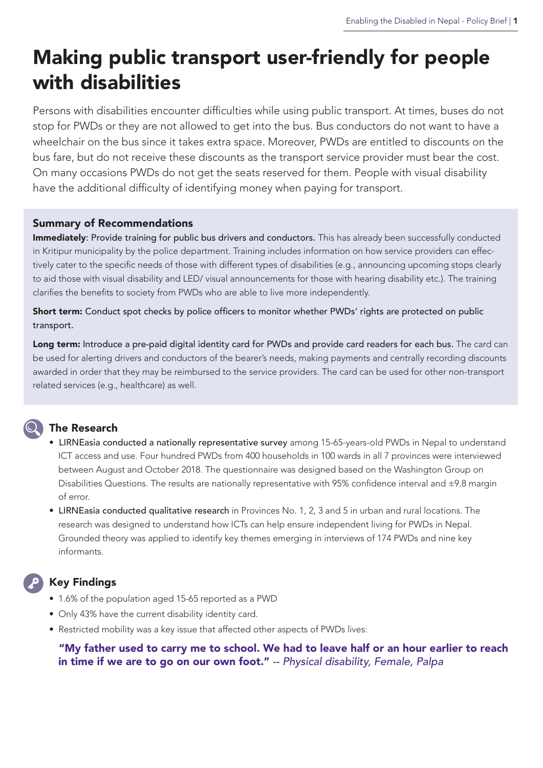# Making public transport user-friendly for people with disabilities

Persons with disabilities encounter difficulties while using public transport. At times, buses do not stop for PWDs or they are not allowed to get into the bus. Bus conductors do not want to have a wheelchair on the bus since it takes extra space. Moreover, PWDs are entitled to discounts on the bus fare, but do not receive these discounts as the transport service provider must bear the cost. On many occasions PWDs do not get the seats reserved for them. People with visual disability have the additional difficulty of identifying money when paying for transport.

#### Summary of Recommendations

Immediately: Provide training for public bus drivers and conductors. This has already been successfully conducted in Kritipur municipality by the police department. Training includes information on how service providers can effectively cater to the specific needs of those with different types of disabilities (e.g., announcing upcoming stops clearly to aid those with visual disability and LED/ visual announcements for those with hearing disability etc.). The training clarifies the benefits to society from PWDs who are able to live more independently.

**Short term:** Conduct spot checks by police officers to monitor whether PWDs' rights are protected on public transport.

Long term: Introduce a pre-paid digital identity card for PWDs and provide card readers for each bus. The card can be used for alerting drivers and conductors of the bearer's needs, making payments and centrally recording discounts awarded in order that they may be reimbursed to the service providers. The card can be used for other non-transport related services (e.g., healthcare) as well.

## The Research

#### • LIRNEasia conducted a nationally representative survey among 15-65-years-old PWDs in Nepal to understand ICT access and use. Four hundred PWDs from 400 households in 100 wards in all 7 provinces were interviewed between August and October 2018. The questionnaire was designed based on the Washington Group on Disabilities Questions. The results are nationally representative with 95% confidence interval and ±9.8 margin of error.

• LIRNEasia conducted qualitative research in Provinces No. 1, 2, 3 and 5 in urban and rural locations. The research was designed to understand how ICTs can help ensure independent living for PWDs in Nepal. Grounded theory was applied to identify key themes emerging in interviews of 174 PWDs and nine key informants.

### Key Findings

- 1.6% of the population aged 15-65 reported as a PWD
- Only 43% have the current disability identity card.
- Restricted mobility was a key issue that affected other aspects of PWDs lives:

 "My father used to carry me to school. We had to leave half or an hour earlier to reach in time if we are to go on our own foot." *-- Physical disability, Female, Palpa*